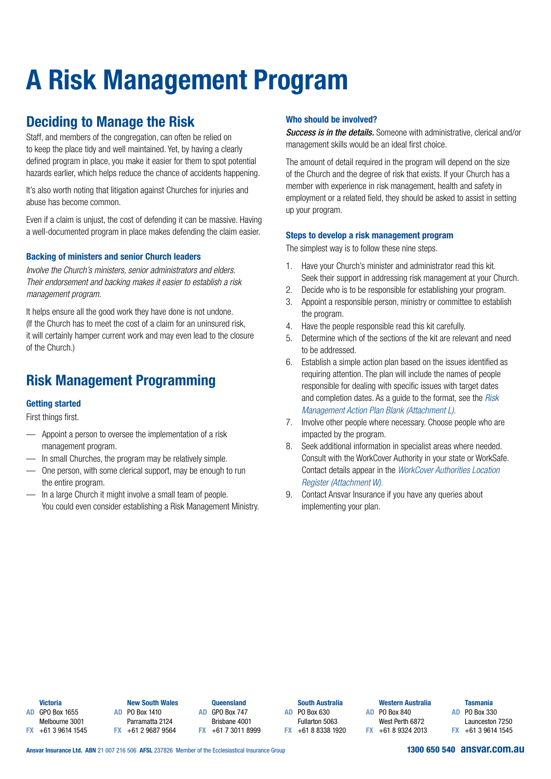# **A Risk Management Program**

# **Deciding to Manage the Risk**

Staff, and members of the congregation, can often be relied on to keep the place tidy and well maintained. Yet, by having a clearly defined program in place, you make it easier for them to spot potential hazards earlier, which helps reduce the chance of accidents happening.

It's also worth noting that litigation against Churches for injuries and abuse has become common.

Even if a claim is unjust, the cost of defending it can be massive. Having a well-documented program in place makes defending the claim easier.

## **Backing of ministers and senior Church leaders**

*Involve the Church's ministers, senior administrators and elders. Their endorsement and backing makes it easier to establish a risk management program.* 

It helps ensure all the good work they have done is not undone. (If the Church has to meet the cost of a claim for an uninsured risk, it will certainly hamper current work and may even lead to the closure of the Church.)

# **Risk Management Programming**

## **Getting started**

First things first.

- Appoint a person to oversee the implementation of a risk management program.
- In small Churches, the program may be relatively simple.
- One person, with some clerical support, may be enough to run the entire program.
- In a large Church it might involve a small team of people. You could even consider establishing a Risk Management Ministry.

## **Who should be involved?**

*Success is in the details.* Someone with administrative, clerical and/or management skills would be an ideal first choice.

The amount of detail required in the program will depend on the size of the Church and the degree of risk that exists. If your Church has a member with experience in risk management, health and safety in employment or a related field, they should be asked to assist in setting up your program.

### **Steps to develop a risk management program**

The simplest way is to follow these nine steps.

- 1. Have your Church's minister and administrator read this kit. Seek their support in addressing risk management at your Church.
- 2. Decide who is to be responsible for establishing your program.
- 3. Appoint a responsible person, ministry or committee to establish the program.
- 4. Have the people responsible read this kit carefully.
- 5. Determine which of the sections of the kit are relevant and need to be addressed.
- 6. Establish a simple action plan based on the issues identified as requiring attention. The plan will include the names of people responsible for dealing with specific issues with target dates and completion dates. As a guide to the format, see the *Risk Management Action Plan Blank (Attachment L).*
- 7. Involve other people where necessary. Choose people who are impacted by the program.
- 8. Seek additional information in specialist areas where needed. Consult with the WorkCover Authority in your state or WorkSafe. Contact details appear in the *WorkCover Authorities Location Register (Attachment W).*
- 9. Contact Ansvar Insurance if you have any queries about implementing your plan.

**Victoria**

**AD** GPO Box 1655 Melbourne 3001 **FX** +61 3 9614 1545

**New South Wales AD** PO Box 1410 Parramatta 2124 **FX** +61 2 9687 9564

**Queensland AD** GPO Box 747 Brisbane 4001 **FX** +61 7 3011 8999

**South Australia AD** PO Box 630 Fullarton 5063

**FX** +61 8 8338 1920

**AD** PO Box 840 West Perth 6872 **FX** +61 8 9324 2013

**Western Australia**

#### **Tasmania**

**AD** PO Box 330 Launceston 7250 **FX** +61 3 9614 1545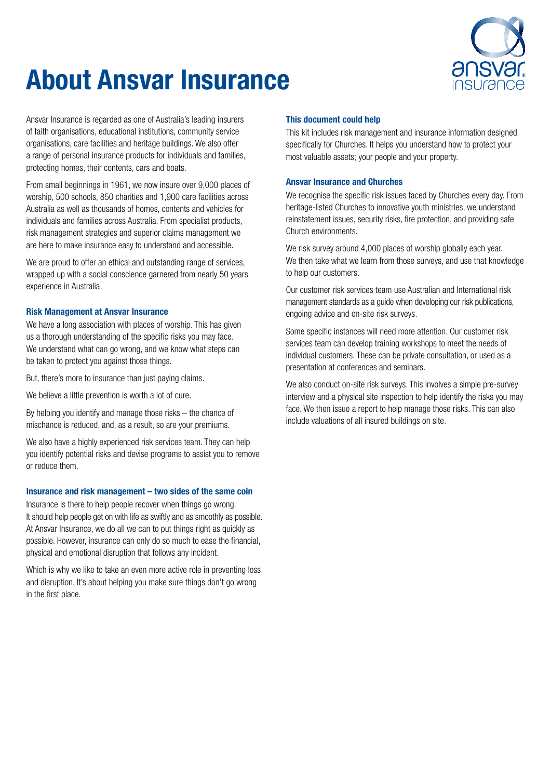

# **About Ansvar Insurance**

Ansvar Insurance is regarded as one of Australia's leading insurers of faith organisations, educational institutions, community service organisations, care facilities and heritage buildings. We also offer a range of personal insurance products for individuals and families, protecting homes, their contents, cars and boats.

From small beginnings in 1961, we now insure over 9,000 places of worship, 500 schools, 850 charities and 1,900 care facilities across Australia as well as thousands of homes, contents and vehicles for individuals and families across Australia. From specialist products, risk management strategies and superior claims management we are here to make insurance easy to understand and accessible.

We are proud to offer an ethical and outstanding range of services. wrapped up with a social conscience garnered from nearly 50 years experience in Australia.

#### **Risk Management at Ansvar Insurance**

We have a long association with places of worship. This has given us a thorough understanding of the specific risks you may face. We understand what can go wrong, and we know what steps can be taken to protect you against those things.

But, there's more to insurance than just paying claims.

We believe a little prevention is worth a lot of cure.

By helping you identify and manage those risks – the chance of mischance is reduced, and, as a result, so are your premiums.

We also have a highly experienced risk services team. They can help you identify potential risks and devise programs to assist you to remove or reduce them.

### **Insurance and risk management – two sides of the same coin**

Insurance is there to help people recover when things go wrong. It should help people get on with life as swiftly and as smoothly as possible. At Ansvar Insurance, we do all we can to put things right as quickly as possible. However, insurance can only do so much to ease the financial, physical and emotional disruption that follows any incident.

Which is why we like to take an even more active role in preventing loss and disruption. It's about helping you make sure things don't go wrong in the first place.

#### **This document could help**

This kit includes risk management and insurance information designed specifically for Churches. It helps you understand how to protect your most valuable assets; your people and your property.

#### **Ansvar Insurance and Churches**

We recognise the specific risk issues faced by Churches every day. From heritage-listed Churches to innovative youth ministries, we understand reinstatement issues, security risks, fire protection, and providing safe Church environments.

We risk survey around 4,000 places of worship globally each year. We then take what we learn from those surveys, and use that knowledge to help our customers.

Our customer risk services team use Australian and International risk management standards as a guide when developing our risk publications, ongoing advice and on-site risk surveys.

Some specific instances will need more attention. Our customer risk services team can develop training workshops to meet the needs of individual customers. These can be private consultation, or used as a presentation at conferences and seminars.

We also conduct on-site risk surveys. This involves a simple pre-survey interview and a physical site inspection to help identify the risks you may face. We then issue a report to help manage those risks. This can also include valuations of all insured buildings on site.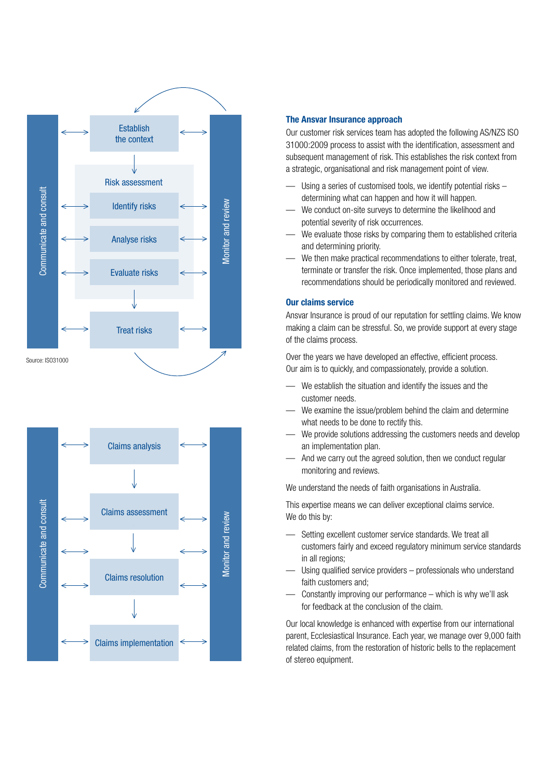



#### **The Ansvar Insurance approach**

Our customer risk services team has adopted the following AS/NZS ISO 31000:2009 process to assist with the identification, assessment and subsequent management of risk. This establishes the risk context from a strategic, organisational and risk management point of view.

- Using a series of customised tools, we identify potential risks determining what can happen and how it will happen.
- We conduct on-site surveys to determine the likelihood and potential severity of risk occurrences.
- We evaluate those risks by comparing them to established criteria and determining priority.
- We then make practical recommendations to either tolerate, treat, terminate or transfer the risk. Once implemented, those plans and recommendations should be periodically monitored and reviewed.

#### **Our claims service**

Ansvar Insurance is proud of our reputation for settling claims. We know making a claim can be stressful. So, we provide support at every stage of the claims process.

Over the years we have developed an effective, efficient process. Our aim is to quickly, and compassionately, provide a solution.

- We establish the situation and identify the issues and the customer needs.
- We examine the issue/problem behind the claim and determine what needs to be done to rectify this.
- We provide solutions addressing the customers needs and develop an implementation plan.
- And we carry out the agreed solution, then we conduct regular monitoring and reviews.

We understand the needs of faith organisations in Australia.

This expertise means we can deliver exceptional claims service. We do this by:

- Setting excellent customer service standards. We treat all customers fairly and exceed regulatory minimum service standards in all regions;
- Using qualified service providers professionals who understand faith customers and;
- Constantly improving our performance which is why we'll ask for feedback at the conclusion of the claim.

Our local knowledge is enhanced with expertise from our international parent, Ecclesiastical Insurance. Each year, we manage over 9,000 faith related claims, from the restoration of historic bells to the replacement of stereo equipment.